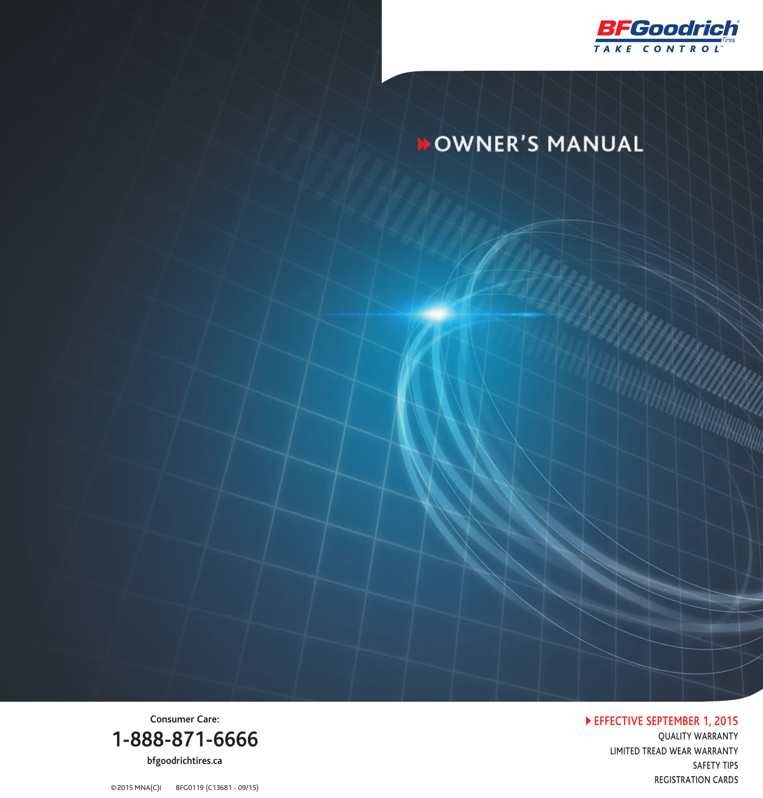

# **DOWNER'S MANUAL**

 **EFFECTIVE SEPTEMBER 1, 2015**

QUALITY WARRANTY LIMITED TREAD WEAR WARRANTY SAFETY TIPS REGISTRATION CARDS

**Consumer Care: 1-888-871-6666 bfgoodrichtires.ca**

©2015 MNA(C)I BFG0119 (C13681 - 09/15)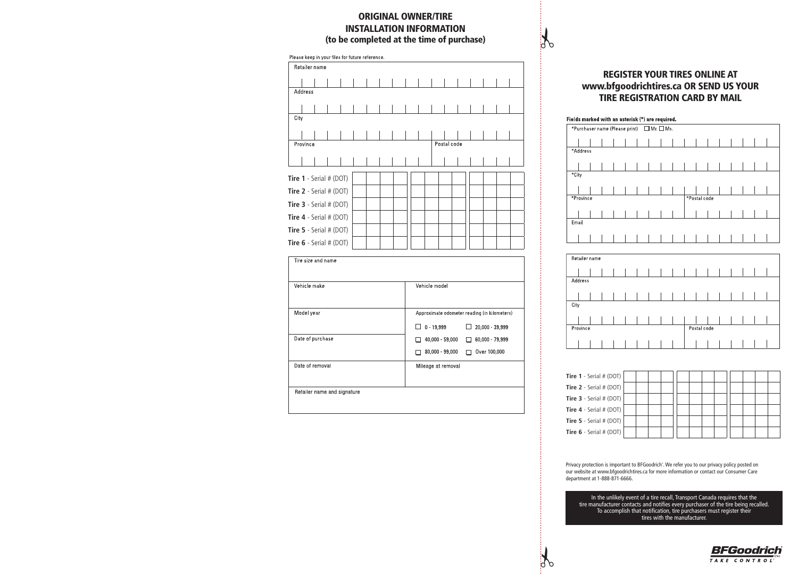# ORIGINAL OWNER/TIRE INSTALLATION INFORMATION (to be completed at the time of purchase)

| Please keep in your files for future reference. |  |  |  |             |  |  |  |  |  |  |  |  |
|-------------------------------------------------|--|--|--|-------------|--|--|--|--|--|--|--|--|
| Retailer name                                   |  |  |  |             |  |  |  |  |  |  |  |  |
|                                                 |  |  |  |             |  |  |  |  |  |  |  |  |
| Address                                         |  |  |  |             |  |  |  |  |  |  |  |  |
|                                                 |  |  |  |             |  |  |  |  |  |  |  |  |
| City                                            |  |  |  |             |  |  |  |  |  |  |  |  |
|                                                 |  |  |  |             |  |  |  |  |  |  |  |  |
|                                                 |  |  |  |             |  |  |  |  |  |  |  |  |
| Province                                        |  |  |  | Postal code |  |  |  |  |  |  |  |  |
|                                                 |  |  |  |             |  |  |  |  |  |  |  |  |
|                                                 |  |  |  |             |  |  |  |  |  |  |  |  |
| Tire 1 - Serial # (DOT)                         |  |  |  |             |  |  |  |  |  |  |  |  |
| Tire 2 - Serial # (DOT)                         |  |  |  |             |  |  |  |  |  |  |  |  |
| <b>Tire 3</b> - Serial $# (DOT)$                |  |  |  |             |  |  |  |  |  |  |  |  |
| Tire $4 -$ Serial # (DOT)                       |  |  |  |             |  |  |  |  |  |  |  |  |
| <b>Tire 5</b> - Serial $# (DOT)$                |  |  |  |             |  |  |  |  |  |  |  |  |
| <b>Tire 6</b> - Serial $# (DOT)$                |  |  |  |             |  |  |  |  |  |  |  |  |

| Tire size and name          |                                                                                              |
|-----------------------------|----------------------------------------------------------------------------------------------|
| Vehicle make                | Vehicle model                                                                                |
| Model year                  | Approximate odometer reading (in kilometers)<br>$0 - 19,999$<br>$\Box$ 20,000 - 39,999<br>⊔. |
| Date of purchase            | 40,000 - 59,000<br>60,000 - 79,999<br>п<br>80,000 - 99,000<br>Over 100,000<br>П              |
| Date of removal             | Mileage at removal                                                                           |
| Retailer name and signature |                                                                                              |

# REGISTER YOUR TIRES ONLINE AT www.bfgoodrichtires.ca OR SEND US YOUR TIRE REGISTRATION CARD BY MAIL

 $\mathcal{F}$ 

 $\mathcal{F}$ 



| Retailer name |  |  |  |  |             |  |  |  |
|---------------|--|--|--|--|-------------|--|--|--|
|               |  |  |  |  |             |  |  |  |
| Address       |  |  |  |  |             |  |  |  |
|               |  |  |  |  |             |  |  |  |
| City          |  |  |  |  |             |  |  |  |
|               |  |  |  |  |             |  |  |  |
|               |  |  |  |  |             |  |  |  |
| Province      |  |  |  |  | Postal code |  |  |  |
|               |  |  |  |  |             |  |  |  |
|               |  |  |  |  |             |  |  |  |

| <b>Tire 1</b> - Serial # (DOT) $\vert$ |  |  |  |  |  |  |  |
|----------------------------------------|--|--|--|--|--|--|--|
| Tire $2 -$ Serial # (DOT)              |  |  |  |  |  |  |  |
| <b>Tire 3</b> - Serial # (DOT) $\vert$ |  |  |  |  |  |  |  |
| Tire $4 -$ Serial # (DOT)              |  |  |  |  |  |  |  |
| Tire $5 -$ Serial # (DOT)              |  |  |  |  |  |  |  |
| Tire 6 - Serial # (DOT)                |  |  |  |  |  |  |  |

Privacy protection is important to BFGoodrich". We refer you to our privacy policy posted on<br>our website at www.bfgoodrichtires.ca for more information or contact our Consumer Care department at 1-888-871-6666.

In the unlikely event of a tire recall, Transport Canada requires that the<br>tire manufacturer contacts and notifies every purchaser of the tire being recalled.<br>To accomplish that notification, tire purchasers must register

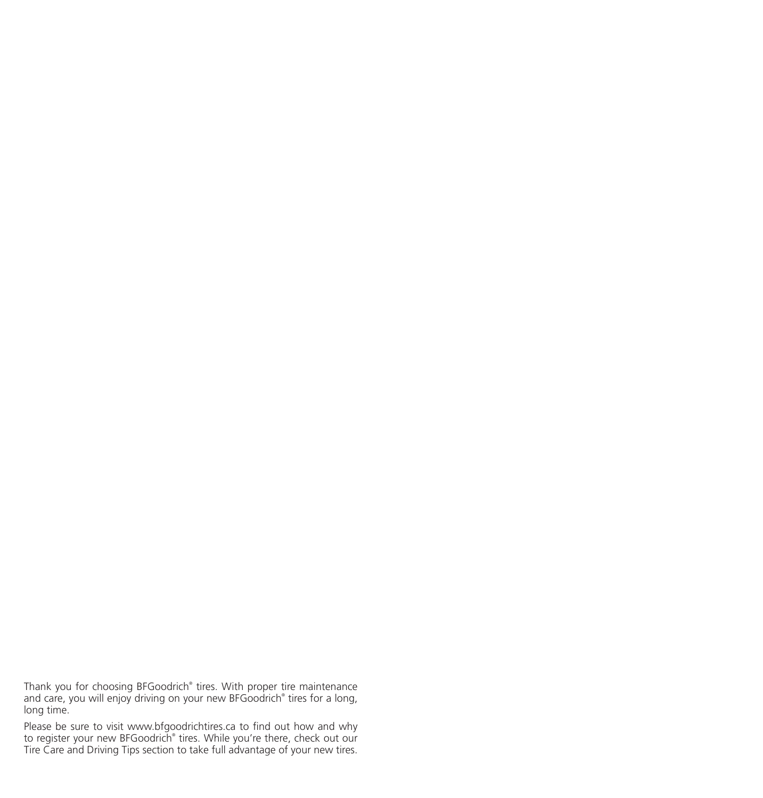Thank you for choosing BFGoodrich® tires. With proper tire maintenance and care, you will enjoy driving on your new BFGoodrich® tires for a long, long time.

Please be sure to visit www.bfgoodrichtires.ca to find out how and why to register your new BFGoodrich® tires. While you're there, check out our Tire Care and Driving Tips section to take full advantage of your new tires.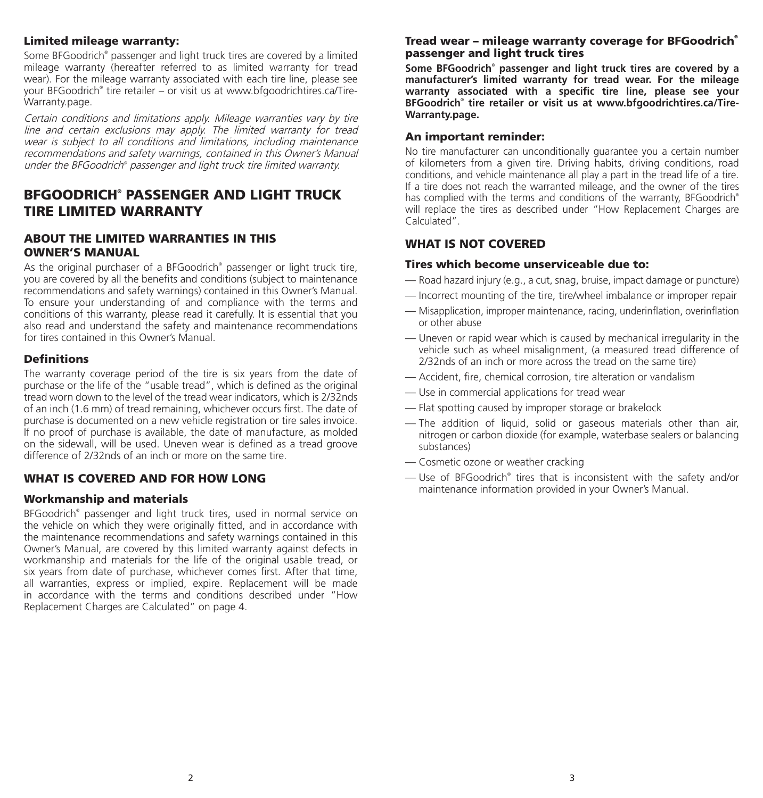### Limited mileage warranty:

Some BFGoodrich® passenger and light truck tires are covered by a limited mileage warranty (hereafter referred to as limited warranty for tread wear). For the mileage warranty associated with each tire line, please see your BFGoodrich® tire retailer – or visit us at www.bfgoodrichtires.ca/Tire-Warranty.page.

Certain conditions and limitations apply. Mileage warranties vary by tire line and certain exclusions may apply. The limited warranty for tread wear is subject to all conditions and limitations, including maintenance recommendations and safety warnings, contained in this Owner's Manual under the BFGoodrich® passenger and light truck tire limited warranty.

# BFGOODRICH® PASSENGER AND LIGHT TRUCK TIRE LIMITED WARRANTY

### ABOUT THE LIMITED WARRANTIES IN THIS OWNER'S MANUAL

As the original purchaser of a BFGoodrich® passenger or light truck tire, you are covered by all the benefits and conditions (subject to maintenance recommendations and safety warnings) contained in this Owner's Manual. To ensure your understanding of and compliance with the terms and conditions of this warranty, please read it carefully. It is essential that you also read and understand the safety and maintenance recommendations for tires contained in this Owner's Manual.

### **Definitions**

The warranty coverage period of the tire is six years from the date of purchase or the life of the "usable tread", which is defined as the original tread worn down to the level of the tread wear indicators, which is 2/32nds of an inch (1.6 mm) of tread remaining, whichever occurs first. The date of purchase is documented on a new vehicle registration or tire sales invoice. If no proof of purchase is available, the date of manufacture, as molded on the sidewall, will be used. Uneven wear is defined as a tread groove difference of 2/32nds of an inch or more on the same tire.

### WHAT IS COVERED AND FOR HOW LONG

### Workmanship and materials

BFGoodrich® passenger and light truck tires, used in normal service on the vehicle on which they were originally fitted, and in accordance with the maintenance recommendations and safety warnings contained in this Owner's Manual, are covered by this limited warranty against defects in workmanship and materials for the life of the original usable tread, or six years from date of purchase, whichever comes first. After that time, all warranties, express or implied, expire. Replacement will be made in accordance with the terms and conditions described under "How Replacement Charges are Calculated" on page 4.

### Tread wear – mileage warranty coverage for BFGoodrich® passenger and light truck tires

**Some BFGoodrich® passenger and light truck tires are covered by a manufacturer's limited warranty for tread wear. For the mileage warranty associated with a specific tire line, please see your BFGoodrich® tire retailer or visit us at www.bfgoodrichtires.ca/Tire-Warranty.page.** 

### An important reminder:

No tire manufacturer can unconditionally guarantee you a certain number of kilometers from a given tire. Driving habits, driving conditions, road conditions, and vehicle maintenance all play a part in the tread life of a tire. If a tire does not reach the warranted mileage, and the owner of the tires has complied with the terms and conditions of the warranty, BFGoodrich® will replace the tires as described under "How Replacement Charges are Calculated".

### WHAT IS NOT COVERED

### Tires which become unserviceable due to:

- Road hazard injury (e.g., a cut, snag, bruise, impact damage or puncture)
- Incorrect mounting of the tire, tire/wheel imbalance or improper repair
- Misapplication, improper maintenance, racing, underinflation, overinflation or other abuse
- Uneven or rapid wear which is caused by mechanical irregularity in the vehicle such as wheel misalignment, (a measured tread difference of 2/32nds of an inch or more across the tread on the same tire)
- Accident, fire, chemical corrosion, tire alteration or vandalism
- Use in commercial applications for tread wear
- Flat spotting caused by improper storage or brakelock
- The addition of liquid, solid or gaseous materials other than air, nitrogen or carbon dioxide (for example, waterbase sealers or balancing substances)
- Cosmetic ozone or weather cracking
- Use of BFGoodrich® tires that is inconsistent with the safety and/or maintenance information provided in your Owner's Manual.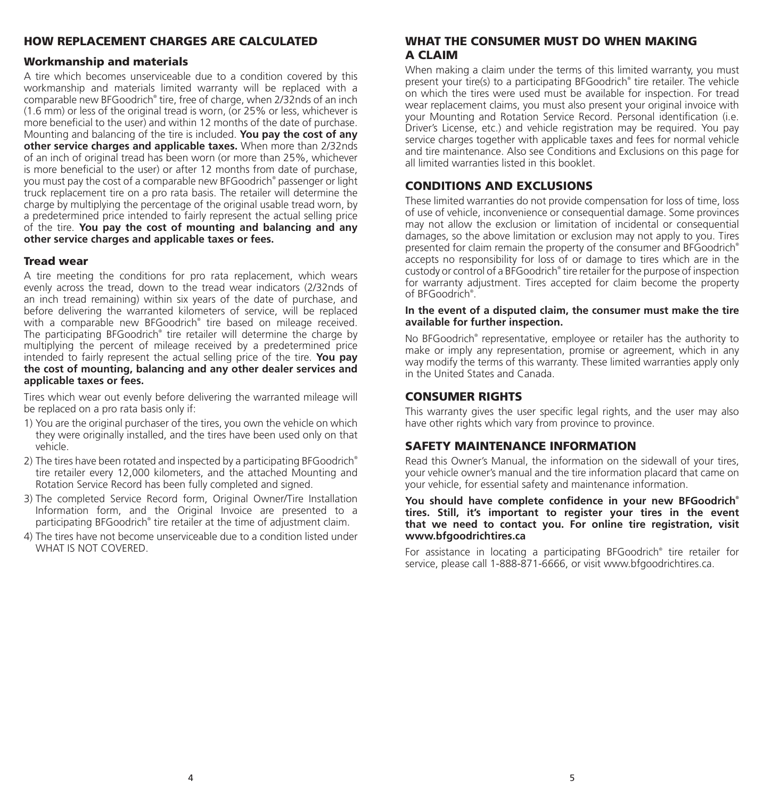# HOW REPLACEMENT CHARGES ARE CALCULATED

### Workmanship and materials

A tire which becomes unserviceable due to a condition covered by this workmanship and materials limited warranty will be replaced with a comparable new BFGoodrich® tire, free of charge, when 2/32nds of an inch (1.6 mm) or less of the original tread is worn, (or 25% or less, whichever is more beneficial to the user) and within 12 months of the date of purchase. Mounting and balancing of the tire is included. **You pay the cost of any other service charges and applicable taxes.** When more than 2/32nds of an inch of original tread has been worn (or more than 25%, whichever is more beneficial to the user) or after 12 months from date of purchase, you must pay the cost of a comparable new BFGoodrich® passenger or light truck replacement tire on a pro rata basis. The retailer will determine the charge by multiplying the percentage of the original usable tread worn, by a predetermined price intended to fairly represent the actual selling price of the tire. **You pay the cost of mounting and balancing and any other service charges and applicable taxes or fees.**

### Tread wear

A tire meeting the conditions for pro rata replacement, which wears evenly across the tread, down to the tread wear indicators (2/32nds of an inch tread remaining) within six years of the date of purchase, and before delivering the warranted kilometers of service, will be replaced with a comparable new BFGoodrich® tire based on mileage received. The participating BFGoodrich® tire retailer will determine the charge by multiplying the percent of mileage received by a predetermined price intended to fairly represent the actual selling price of the tire. **You pay the cost of mounting, balancing and any other dealer services and applicable taxes or fees.**

Tires which wear out evenly before delivering the warranted mileage will be replaced on a pro rata basis only if:

- 1) You are the original purchaser of the tires, you own the vehicle on which they were originally installed, and the tires have been used only on that vehicle.
- 2) The tires have been rotated and inspected by a participating BFGoodrich® tire retailer every 12,000 kilometers, and the attached Mounting and Rotation Service Record has been fully completed and signed.
- 3) The completed Service Record form, Original Owner/Tire Installation Information form, and the Original Invoice are presented to a participating BFGoodrich® tire retailer at the time of adjustment claim.
- 4) The tires have not become unserviceable due to a condition listed under WHAT IS NOT COVERED.

# WHAT THE CONSUMER MUST DO WHEN MAKING A CLAIM

When making a claim under the terms of this limited warranty, you must present your tire(s) to a participating BFGoodrich® tire retailer. The vehicle on which the tires were used must be available for inspection. For tread wear replacement claims, you must also present your original invoice with your Mounting and Rotation Service Record. Personal identification (i.e. Driver's License, etc.) and vehicle registration may be required. You pay service charges together with applicable taxes and fees for normal vehicle and tire maintenance. Also see Conditions and Exclusions on this page for all limited warranties listed in this booklet.

### CONDITIONS AND EXCLUSIONS

These limited warranties do not provide compensation for loss of time, loss of use of vehicle, inconvenience or consequential damage. Some provinces may not allow the exclusion or limitation of incidental or consequential damages, so the above limitation or exclusion may not apply to you. Tires presented for claim remain the property of the consumer and BFGoodrich® accepts no responsibility for loss of or damage to tires which are in the custody or control of a BFGoodrich® tire retailer for the purpose of inspection for warranty adjustment. Tires accepted for claim become the property of BFGoodrich® .

### **In the event of a disputed claim, the consumer must make the tire available for further inspection.**

No BFGoodrich® representative, employee or retailer has the authority to make or imply any representation, promise or agreement, which in any way modify the terms of this warranty. These limited warranties apply only in the United States and Canada.

### CONSUMER RIGHTS

This warranty gives the user specific legal rights, and the user may also have other rights which vary from province to province.

### SAFETY MAINTENANCE INFORMATION

Read this Owner's Manual, the information on the sidewall of your tires, your vehicle owner's manual and the tire information placard that came on your vehicle, for essential safety and maintenance information.

**You should have complete confidence in your new BFGoodrich® tires. Still, it's important to register your tires in the event that we need to contact you. For online tire registration, visit www.bfgoodrichtires.ca**

For assistance in locating a participating BFGoodrich® tire retailer for service, please call 1-888-871-6666, or visit www.bfgoodrichtires.ca.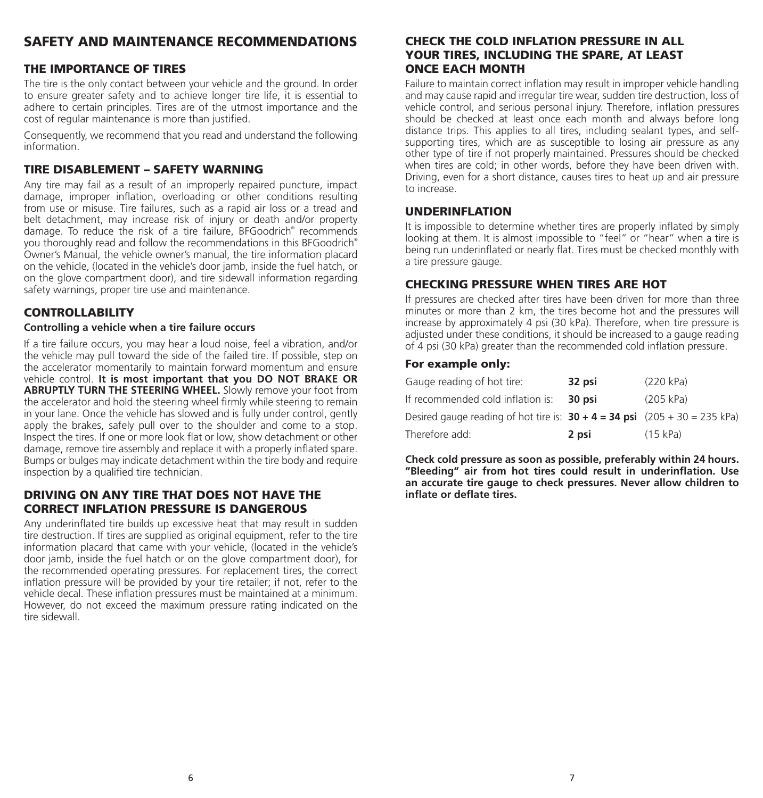# SAFETY AND MAINTENANCE RECOMMENDATIONS

### THE IMPORTANCE OF TIRES

The tire is the only contact between your vehicle and the ground. In order to ensure greater safety and to achieve longer tire life, it is essential to adhere to certain principles. Tires are of the utmost importance and the cost of regular maintenance is more than justified.

Consequently, we recommend that you read and understand the following information.

### TIRE DISABLEMENT – SAFETY WARNING

Any tire may fail as a result of an improperly repaired puncture, impact damage, improper inflation, overloading or other conditions resulting from use or misuse. Tire failures, such as a rapid air loss or a tread and belt detachment, may increase risk of injury or death and/or property damage. To reduce the risk of a tire failure, BFGoodrich® recommends you thoroughly read and follow the recommendations in this BFGoodrich® Owner's Manual, the vehicle owner's manual, the tire information placard on the vehicle, (located in the vehicle's door jamb, inside the fuel hatch, or on the glove compartment door), and tire sidewall information regarding safety warnings, proper tire use and maintenance.

### CONTROLLABILITY

### **Controlling a vehicle when a tire failure occurs**

If a tire failure occurs, you may hear a loud noise, feel a vibration, and/or the vehicle may pull toward the side of the failed tire. If possible, step on the accelerator momentarily to maintain forward momentum and ensure vehicle control. **It is most important that you DO NOT BRAKE OR ABRUPTLY TURN THE STEERING WHEEL.** Slowly remove your foot from the accelerator and hold the steering wheel firmly while steering to remain in your lane. Once the vehicle has slowed and is fully under control, gently apply the brakes, safely pull over to the shoulder and come to a stop. Inspect the tires. If one or more look flat or low, show detachment or other damage, remove tire assembly and replace it with a properly inflated spare. Bumps or bulges may indicate detachment within the tire body and require inspection by a qualified tire technician.

### DRIVING ON ANY TIRE THAT DOES NOT HAVE THE CORRECT INFLATION PRESSURE IS DANGEROUS

Any underinflated tire builds up excessive heat that may result in sudden tire destruction. If tires are supplied as original equipment, refer to the tire information placard that came with your vehicle, (located in the vehicle's door jamb, inside the fuel hatch or on the glove compartment door), for the recommended operating pressures. For replacement tires, the correct inflation pressure will be provided by your tire retailer; if not, refer to the vehicle decal. These inflation pressures must be maintained at a minimum. However, do not exceed the maximum pressure rating indicated on the tire sidewall.

# CHECK THE COLD INFLATION PRESSURE IN ALL YOUR TIRES, INCLUDING THE SPARE, AT LEAST ONCE EACH MONTH

Failure to maintain correct inflation may result in improper vehicle handling and may cause rapid and irregular tire wear, sudden tire destruction, loss of vehicle control, and serious personal injury. Therefore, inflation pressures should be checked at least once each month and always before long distance trips. This applies to all tires, including sealant types, and selfsupporting tires, which are as susceptible to losing air pressure as any other type of tire if not properly maintained. Pressures should be checked when tires are cold; in other words, before they have been driven with. Driving, even for a short distance, causes tires to heat up and air pressure to increase.

### UNDERINFLATION

It is impossible to determine whether tires are properly inflated by simply looking at them. It is almost impossible to "feel" or "hear" when a tire is being run underinflated or nearly flat. Tires must be checked monthly with a tire pressure gauge.

### CHECKING PRESSURE WHEN TIRES ARE HOT

If pressures are checked after tires have been driven for more than three minutes or more than 2 km, the tires become hot and the pressures will increase by approximately 4 psi (30 kPa). Therefore, when tire pressure is adjusted under these conditions, it should be increased to a gauge reading of 4 psi (30 kPa) greater than the recommended cold inflation pressure.

### For example only:

| Gauge reading of hot tire:                                                     | 32 psi | (220 kPa) |
|--------------------------------------------------------------------------------|--------|-----------|
| If recommended cold inflation is:                                              | 30 psi | (205 kPa) |
| Desired gauge reading of hot tire is: $30 + 4 = 34$ psi $(205 + 30 = 235$ kPa) |        |           |
| Therefore add:                                                                 | 2 psi  | (15 kPa)  |

**Check cold pressure as soon as possible, preferably within 24 hours. "Bleeding" air from hot tires could result in underinflation. Use an accurate tire gauge to check pressures. Never allow children to inflate or deflate tires.**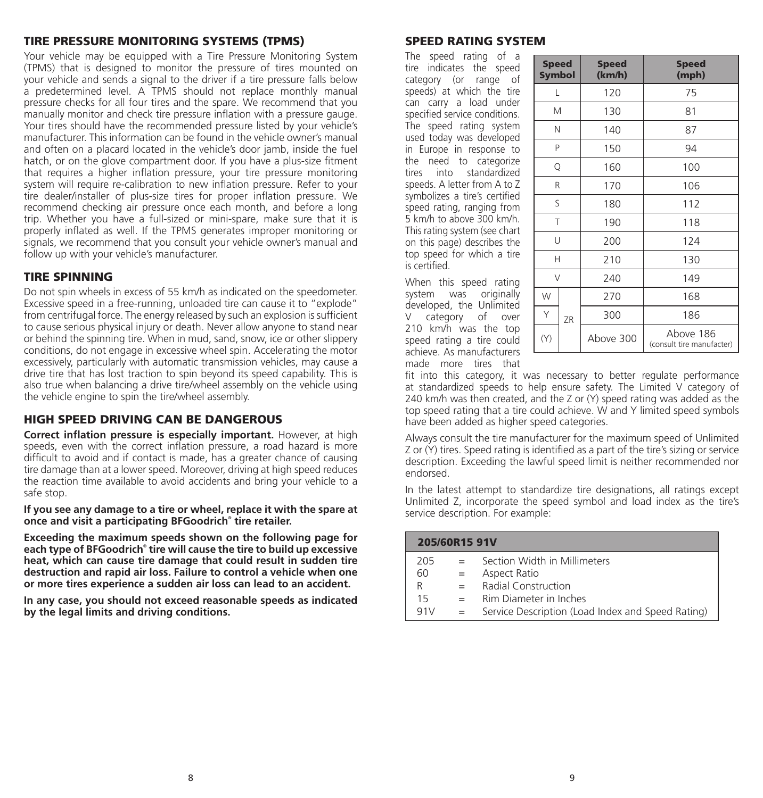### TIRE PRESSURE MONITORING SYSTEMS (TPMS)

Your vehicle may be equipped with a Tire Pressure Monitoring System (TPMS) that is designed to monitor the pressure of tires mounted on your vehicle and sends a signal to the driver if a tire pressure falls below a predetermined level. A TPMS should not replace monthly manual pressure checks for all four tires and the spare. We recommend that you manually monitor and check tire pressure inflation with a pressure gauge. Your tires should have the recommended pressure listed by your vehicle's manufacturer. This information can be found in the vehicle owner's manual and often on a placard located in the vehicle's door jamb, inside the fuel hatch, or on the glove compartment door. If you have a plus-size fitment that requires a higher inflation pressure, your tire pressure monitoring system will require re-calibration to new inflation pressure. Refer to your tire dealer/installer of plus-size tires for proper inflation pressure. We recommend checking air pressure once each month, and before a long trip. Whether you have a full-sized or mini-spare, make sure that it is properly inflated as well. If the TPMS generates improper monitoring or signals, we recommend that you consult your vehicle owner's manual and follow up with your vehicle's manufacturer.

### TIRE SPINNING

Do not spin wheels in excess of 55 km/h as indicated on the speedometer. Excessive speed in a free-running, unloaded tire can cause it to "explode" from centrifugal force. The energy released by such an explosion is sufficient to cause serious physical injury or death. Never allow anyone to stand near or behind the spinning tire. When in mud, sand, snow, ice or other slippery conditions, do not engage in excessive wheel spin. Accelerating the motor excessively, particularly with automatic transmission vehicles, may cause a drive tire that has lost traction to spin beyond its speed capability. This is also true when balancing a drive tire/wheel assembly on the vehicle using the vehicle engine to spin the tire/wheel assembly.

### HIGH SPEED DRIVING CAN BE DANGEROUS

**Correct inflation pressure is especially important.** However, at high speeds, even with the correct inflation pressure, a road hazard is more difficult to avoid and if contact is made, has a greater chance of causing tire damage than at a lower speed. Moreover, driving at high speed reduces the reaction time available to avoid accidents and bring your vehicle to a safe stop.

**If you see any damage to a tire or wheel, replace it with the spare at once and visit a participating BFGoodrich® tire retailer.**

**Exceeding the maximum speeds shown on the following page for each type of BFGoodrich® tire will cause the tire to build up excessive heat, which can cause tire damage that could result in sudden tire destruction and rapid air loss. Failure to control a vehicle when one or more tires experience a sudden air loss can lead to an accident.**

**In any case, you should not exceed reasonable speeds as indicated by the legal limits and driving conditions.**

# SPEED RATING SYSTEM

The speed rating of a tire indicates the speed category (or range of speeds) at which the tire can carry a load under specified service conditions. The speed rating system used today was developed in Europe in response to the need to categorize tires into standardized speeds. A letter from A to Z symbolizes a tire's certified speed rating, ranging from 5 km/h to above 300 km/h. This rating system (see chart on this page) describes the top speed for which a tire is certified.

When this speed rating system was originally developed, the Unlimited V category of over 210 km/h was the top speed rating a tire could achieve. As manufacturers made more tires that

| <b>Speed</b><br><b>Symbol</b> |    | <b>Speed</b><br>(km/h) | <b>Speed</b><br>(mph)                  |  |  |  |  |
|-------------------------------|----|------------------------|----------------------------------------|--|--|--|--|
| L                             |    | 120                    | 75                                     |  |  |  |  |
| М                             |    | 130                    | 81                                     |  |  |  |  |
| N                             |    | 140                    | 87                                     |  |  |  |  |
| P                             |    | 150                    | 94                                     |  |  |  |  |
| Q                             |    | 160                    | 100                                    |  |  |  |  |
| R                             |    | 170                    | 106                                    |  |  |  |  |
| S                             |    | 180                    | 112                                    |  |  |  |  |
| T                             |    | 190                    | 118                                    |  |  |  |  |
| U                             |    | 200                    | 124                                    |  |  |  |  |
| н                             |    | 210                    | 130                                    |  |  |  |  |
| V                             |    | 240                    | 149                                    |  |  |  |  |
| W                             |    | 270                    | 168                                    |  |  |  |  |
| Υ                             | ZR | 300                    | 186                                    |  |  |  |  |
| (Y)                           |    | Above 300              | Above 186<br>(consult tire manufacter) |  |  |  |  |

fit into this category, it was necessary to better regulate performance at standardized speeds to help ensure safety. The Limited V category of 240 km/h was then created, and the Z or (Y) speed rating was added as the top speed rating that a tire could achieve. W and Y limited speed symbols have been added as higher speed categories.

Always consult the tire manufacturer for the maximum speed of Unlimited  $Z$  or  $(Y)$  tires. Speed rating is identified as a part of the tire's sizing or service description. Exceeding the lawful speed limit is neither recommended nor endorsed.

In the latest attempt to standardize tire designations, all ratings except Unlimited Z, incorporate the speed symbol and load index as the tire's service description. For example:

|     | 205/60R15 91V |                                                   |  |  |  |  |  |  |  |  |
|-----|---------------|---------------------------------------------------|--|--|--|--|--|--|--|--|
| 205 |               | Section Width in Millimeters                      |  |  |  |  |  |  |  |  |
| 60  |               | Aspect Ratio                                      |  |  |  |  |  |  |  |  |
| R   |               | Radial Construction                               |  |  |  |  |  |  |  |  |
| 15  | $=$           | Rim Diameter in Inches                            |  |  |  |  |  |  |  |  |
| 91V |               | Service Description (Load Index and Speed Rating) |  |  |  |  |  |  |  |  |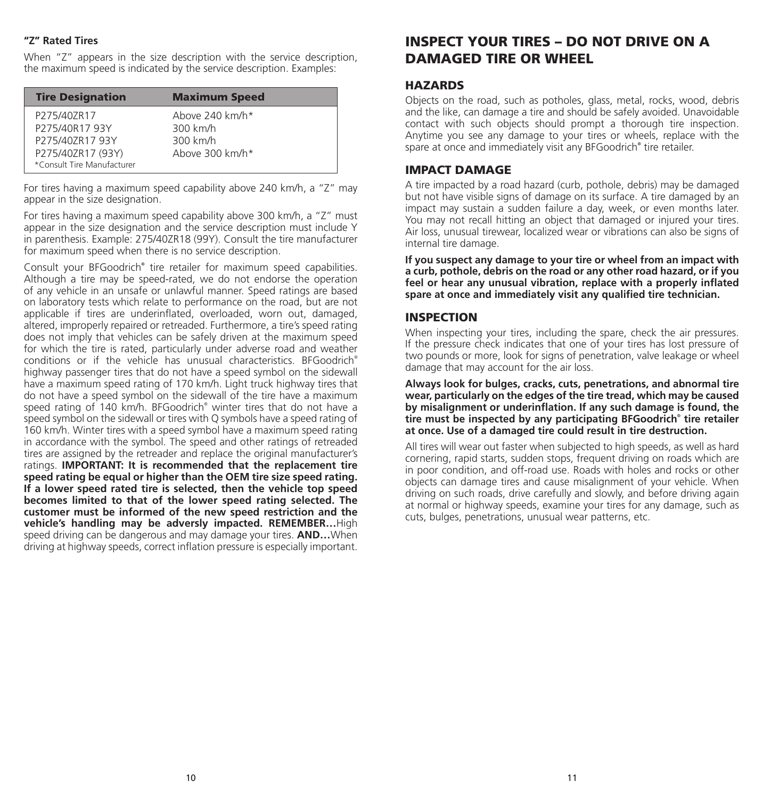### **"Z" Rated Tires**

When "Z" appears in the size description with the service description, the maximum speed is indicated by the service description. Examples:

| <b>Tire Designation</b><br><b>Maximum Speed</b>                                                                                                                   |  |
|-------------------------------------------------------------------------------------------------------------------------------------------------------------------|--|
| Above 240 km/h*<br>P275/40ZR17<br>300 km/h<br>P275/40R17 93Y<br>300 km/h<br>P275/40ZR17 93Y<br>P275/40ZR17 (93Y)<br>Above 300 km/h*<br>*Consult Tire Manufacturer |  |

For tires having a maximum speed capability above 240 km/h, a "Z" may appear in the size designation.

For tires having a maximum speed capability above 300 km/h, a "Z" must appear in the size designation and the service description must include Y in parenthesis. Example: 275/40ZR18 (99Y). Consult the tire manufacturer for maximum speed when there is no service description.

Consult your BFGoodrich**®** tire retailer for maximum speed capabilities. Although a tire may be speed-rated, we do not endorse the operation of any vehicle in an unsafe or unlawful manner. Speed ratings are based on laboratory tests which relate to performance on the road, but are not applicable if tires are underinflated, overloaded, worn out, damaged, altered, improperly repaired or retreaded. Furthermore, a tire's speed rating does not imply that vehicles can be safely driven at the maximum speed for which the tire is rated, particularly under adverse road and weather conditions or if the vehicle has unusual characteristics. BFGoodrich® highway passenger tires that do not have a speed symbol on the sidewall have a maximum speed rating of 170 km/h. Light truck highway tires that do not have a speed symbol on the sidewall of the tire have a maximum speed rating of 140 km/h. BFGoodrich® winter tires that do not have a speed symbol on the sidewall or tires with Q symbols have a speed rating of 160 km/h. Winter tires with a speed symbol have a maximum speed rating in accordance with the symbol. The speed and other ratings of retreaded tires are assigned by the retreader and replace the original manufacturer's ratings. **IMPORTANT: It is recommended that the replacement tire speed rating be equal or higher than the OEM tire size speed rating. If a lower speed rated tire is selected, then the vehicle top speed becomes limited to that of the lower speed rating selected. The customer must be informed of the new speed restriction and the vehicle's handling may be adversly impacted. REMEMBER…**High speed driving can be dangerous and may damage your tires. **AND…**When driving at highway speeds, correct inflation pressure is especially important.

# INSPECT YOUR TIRES – DO NOT DRIVE ON A DAMAGED TIRE OR WHEEL

### **HAZARDS**

Objects on the road, such as potholes, glass, metal, rocks, wood, debris and the like, can damage a tire and should be safely avoided. Unavoidable contact with such objects should prompt a thorough tire inspection. Anytime you see any damage to your tires or wheels, replace with the spare at once and immediately visit any BFGoodrich**®** tire retailer.

### IMPACT DAMAGE

A tire impacted by a road hazard (curb, pothole, debris) may be damaged but not have visible signs of damage on its surface. A tire damaged by an impact may sustain a sudden failure a day, week, or even months later. You may not recall hitting an object that damaged or injured your tires. Air loss, unusual tirewear, localized wear or vibrations can also be signs of internal tire damage.

**If you suspect any damage to your tire or wheel from an impact with a curb, pothole, debris on the road or any other road hazard, or if you feel or hear any unusual vibration, replace with a properly inflated spare at once and immediately visit any qualified tire technician.**

### INSPECTION

When inspecting your tires, including the spare, check the air pressures. If the pressure check indicates that one of your tires has lost pressure of two pounds or more, look for signs of penetration, valve leakage or wheel damage that may account for the air loss.

**Always look for bulges, cracks, cuts, penetrations, and abnormal tire wear, particularly on the edges of the tire tread, which may be caused by misalignment or underinflation. If any such damage is found, the tire must be inspected by any participating BFGoodrich® tire retailer at once. Use of a damaged tire could result in tire destruction.**

All tires will wear out faster when subjected to high speeds, as well as hard cornering, rapid starts, sudden stops, frequent driving on roads which are in poor condition, and off-road use. Roads with holes and rocks or other objects can damage tires and cause misalignment of your vehicle. When driving on such roads, drive carefully and slowly, and before driving again at normal or highway speeds, examine your tires for any damage, such as cuts, bulges, penetrations, unusual wear patterns, etc.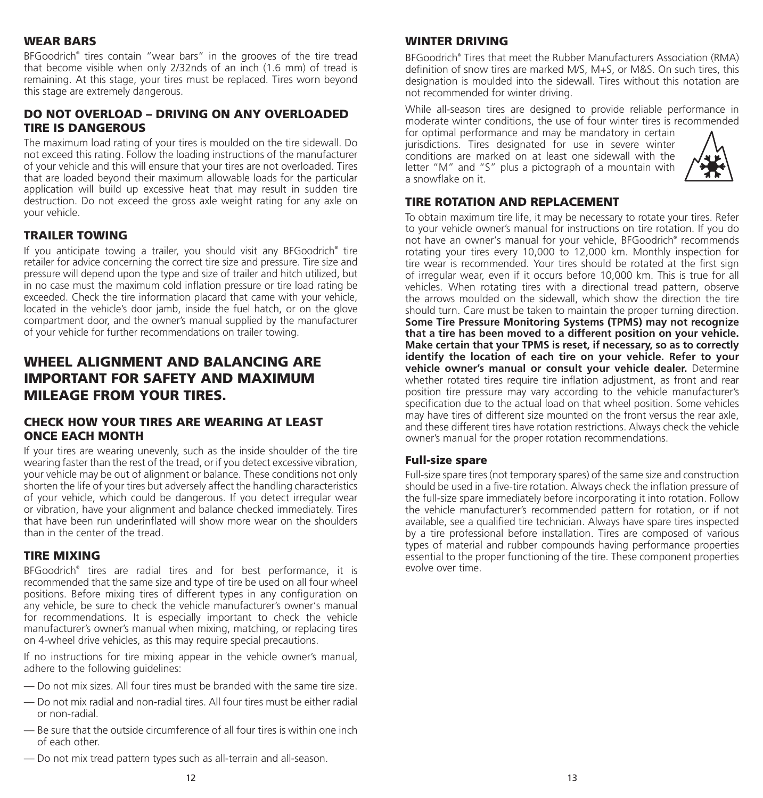### WEAR BARS

BFGoodrich® tires contain "wear bars" in the grooves of the tire tread that become visible when only 2/32nds of an inch (1.6 mm) of tread is remaining. At this stage, your tires must be replaced. Tires worn beyond this stage are extremely dangerous.

# DO NOT OVERLOAD – DRIVING ON ANY OVERLOADED TIRE IS DANGEROUS

The maximum load rating of your tires is moulded on the tire sidewall. Do not exceed this rating. Follow the loading instructions of the manufacturer of your vehicle and this will ensure that your tires are not overloaded. Tires that are loaded beyond their maximum allowable loads for the particular application will build up excessive heat that may result in sudden tire destruction. Do not exceed the gross axle weight rating for any axle on your vehicle.

# TRAILER TOWING

If you anticipate towing a trailer, you should visit any BFGoodrich**®** tire retailer for advice concerning the correct tire size and pressure. Tire size and pressure will depend upon the type and size of trailer and hitch utilized, but in no case must the maximum cold inflation pressure or tire load rating be exceeded. Check the tire information placard that came with your vehicle, located in the vehicle's door jamb, inside the fuel hatch, or on the glove compartment door, and the owner's manual supplied by the manufacturer of your vehicle for further recommendations on trailer towing.

# WHEEL ALIGNMENT AND BALANCING ARE IMPORTANT FOR SAFETY AND MAXIMUM MILEAGE FROM YOUR TIRES.

# CHECK HOW YOUR TIRES ARE WEARING AT LEAST ONCE EACH MONTH

If your tires are wearing unevenly, such as the inside shoulder of the tire wearing faster than the rest of the tread, or if you detect excessive vibration, your vehicle may be out of alignment or balance. These conditions not only shorten the life of your tires but adversely affect the handling characteristics of your vehicle, which could be dangerous. If you detect irregular wear or vibration, have your alignment and balance checked immediately. Tires that have been run underinflated will show more wear on the shoulders than in the center of the tread.

# TIRE MIXING

BFGoodrich® tires are radial tires and for best performance, it is recommended that the same size and type of tire be used on all four wheel positions. Before mixing tires of different types in any configuration on any vehicle, be sure to check the vehicle manufacturer's owner's manual for recommendations. It is especially important to check the vehicle manufacturer's owner's manual when mixing, matching, or replacing tires on 4-wheel drive vehicles, as this may require special precautions.

If no instructions for tire mixing appear in the vehicle owner's manual, adhere to the following guidelines:

- Do not mix sizes. All four tires must be branded with the same tire size.
- Do not mix radial and non-radial tires. All four tires must be either radial or non-radial.
- Be sure that the outside circumference of all four tires is within one inch of each other.
- Do not mix tread pattern types such as all-terrain and all-season.

# WINTER DRIVING

BFGoodrich**®** Tires that meet the Rubber Manufacturers Association (RMA) definition of snow tires are marked M/S, M+S, or M&S. On such tires, this designation is moulded into the sidewall. Tires without this notation are not recommended for winter driving.

While all-season tires are designed to provide reliable performance in moderate winter conditions, the use of four winter tires is recommended

for optimal performance and may be mandatory in certain jurisdictions. Tires designated for use in severe winter conditions are marked on at least one sidewall with the letter "M" and "S" plus a pictograph of a mountain with a snowflake on it.



# TIRE ROTATION AND REPLACEMENT

To obtain maximum tire life, it may be necessary to rotate your tires. Refer to your vehicle owner's manual for instructions on tire rotation. If you do not have an owner's manual for your vehicle, BFGoodrich**®** recommends rotating your tires every 10,000 to 12,000 km. Monthly inspection for tire wear is recommended. Your tires should be rotated at the first sign of irregular wear, even if it occurs before 10,000 km. This is true for all vehicles. When rotating tires with a directional tread pattern, observe the arrows moulded on the sidewall, which show the direction the tire should turn. Care must be taken to maintain the proper turning direction. **Some Tire Pressure Monitoring Systems (TPMS) may not recognize that a tire has been moved to a different position on your vehicle. Make certain that your TPMS is reset, if necessary, so as to correctly identify the location of each tire on your vehicle. Refer to your vehicle owner's manual or consult your vehicle dealer.** Determine whether rotated tires require tire inflation adjustment, as front and rear position tire pressure may vary according to the vehicle manufacturer's specification due to the actual load on that wheel position. Some vehicles may have tires of different size mounted on the front versus the rear axle, and these different tires have rotation restrictions. Always check the vehicle owner's manual for the proper rotation recommendations.

# Full-size spare

Full-size spare tires (not temporary spares) of the same size and construction should be used in a five-tire rotation. Always check the inflation pressure of the full-size spare immediately before incorporating it into rotation. Follow the vehicle manufacturer's recommended pattern for rotation, or if not available, see a qualified tire technician. Always have spare tires inspected by a tire professional before installation. Tires are composed of various types of material and rubber compounds having performance properties essential to the proper functioning of the tire. These component properties evolve over time.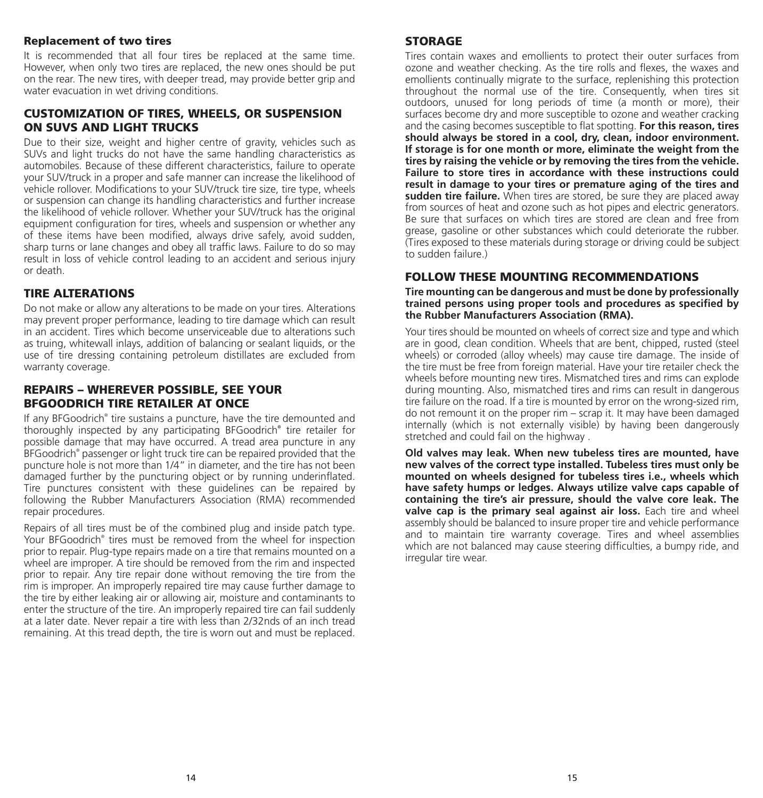### Replacement of two tires

It is recommended that all four tires be replaced at the same time. However, when only two tires are replaced, the new ones should be put on the rear. The new tires, with deeper tread, may provide better grip and water evacuation in wet driving conditions.

### CUSTOMIZATION OF TIRES, WHEELS, OR SUSPENSION ON SUVS AND LIGHT TRUCKS

Due to their size, weight and higher centre of gravity, vehicles such as SUVs and light trucks do not have the same handling characteristics as automobiles. Because of these different characteristics, failure to operate your SUV/truck in a proper and safe manner can increase the likelihood of vehicle rollover. Modifications to your SUV/truck tire size, tire type, wheels or suspension can change its handling characteristics and further increase the likelihood of vehicle rollover. Whether your SUV/truck has the original equipment configuration for tires, wheels and suspension or whether any of these items have been modified, always drive safely, avoid sudden, sharp turns or lane changes and obey all traffic laws. Failure to do so may result in loss of vehicle control leading to an accident and serious injury or death.

### TIRE ALTERATIONS

Do not make or allow any alterations to be made on your tires. Alterations may prevent proper performance, leading to tire damage which can result in an accident. Tires which become unserviceable due to alterations such as truing, whitewall inlays, addition of balancing or sealant liquids, or the use of tire dressing containing petroleum distillates are excluded from warranty coverage.

### REPAIRS – WHEREVER POSSIBLE, SEE YOUR BFGOODRICH TIRE RETAILER AT ONCE

If any BFGoodrich® tire sustains a puncture, have the tire demounted and thoroughly inspected by any participating BFGoodrich**®** tire retailer for possible damage that may have occurred. A tread area puncture in any BFGoodrich® passenger or light truck tire can be repaired provided that the puncture hole is not more than 1/4" in diameter, and the tire has not been damaged further by the puncturing object or by running underinflated. Tire punctures consistent with these guidelines can be repaired by following the Rubber Manufacturers Association (RMA) recommended repair procedures.

Repairs of all tires must be of the combined plug and inside patch type. Your BFGoodrich® tires must be removed from the wheel for inspection prior to repair. Plug-type repairs made on a tire that remains mounted on a wheel are improper. A tire should be removed from the rim and inspected prior to repair. Any tire repair done without removing the tire from the rim is improper. An improperly repaired tire may cause further damage to the tire by either leaking air or allowing air, moisture and contaminants to enter the structure of the tire. An improperly repaired tire can fail suddenly at a later date. Never repair a tire with less than 2/32nds of an inch tread remaining. At this tread depth, the tire is worn out and must be replaced.

### STORAGE

Tires contain waxes and emollients to protect their outer surfaces from ozone and weather checking. As the tire rolls and flexes, the waxes and emollients continually migrate to the surface, replenishing this protection throughout the normal use of the tire. Consequently, when tires sit outdoors, unused for long periods of time (a month or more), their surfaces become dry and more susceptible to ozone and weather cracking and the casing becomes susceptible to flat spotting. **For this reason, tires should always be stored in a cool, dry, clean, indoor environment. If storage is for one month or more, eliminate the weight from the tires by raising the vehicle or by removing the tires from the vehicle. Failure to store tires in accordance with these instructions could result in damage to your tires or premature aging of the tires and**  sudden tire failure. When tires are stored, be sure they are placed away from sources of heat and ozone such as hot pipes and electric generators. Be sure that surfaces on which tires are stored are clean and free from grease, gasoline or other substances which could deteriorate the rubber. (Tires exposed to these materials during storage or driving could be subject to sudden failure.)

### FOLLOW THESE MOUNTING RECOMMENDATIONS

**Tire mounting can be dangerous and must be done by professionally trained persons using proper tools and procedures as specified by the Rubber Manufacturers Association (RMA).**

Your tires should be mounted on wheels of correct size and type and which are in good, clean condition. Wheels that are bent, chipped, rusted (steel wheels) or corroded (alloy wheels) may cause tire damage. The inside of the tire must be free from foreign material. Have your tire retailer check the wheels before mounting new tires. Mismatched tires and rims can explode during mounting. Also, mismatched tires and rims can result in dangerous tire failure on the road. If a tire is mounted by error on the wrong-sized rim, do not remount it on the proper rim – scrap it. It may have been damaged internally (which is not externally visible) by having been dangerously stretched and could fail on the highway .

**Old valves may leak. When new tubeless tires are mounted, have new valves of the correct type installed. Tubeless tires must only be mounted on wheels designed for tubeless tires i.e., wheels which have safety humps or ledges. Always utilize valve caps capable of containing the tire's air pressure, should the valve core leak. The valve cap is the primary seal against air loss.** Each tire and wheel assembly should be balanced to insure proper tire and vehicle performance and to maintain tire warranty coverage. Tires and wheel assemblies which are not balanced may cause steering difficulties, a bumpy ride, and irregular tire wear.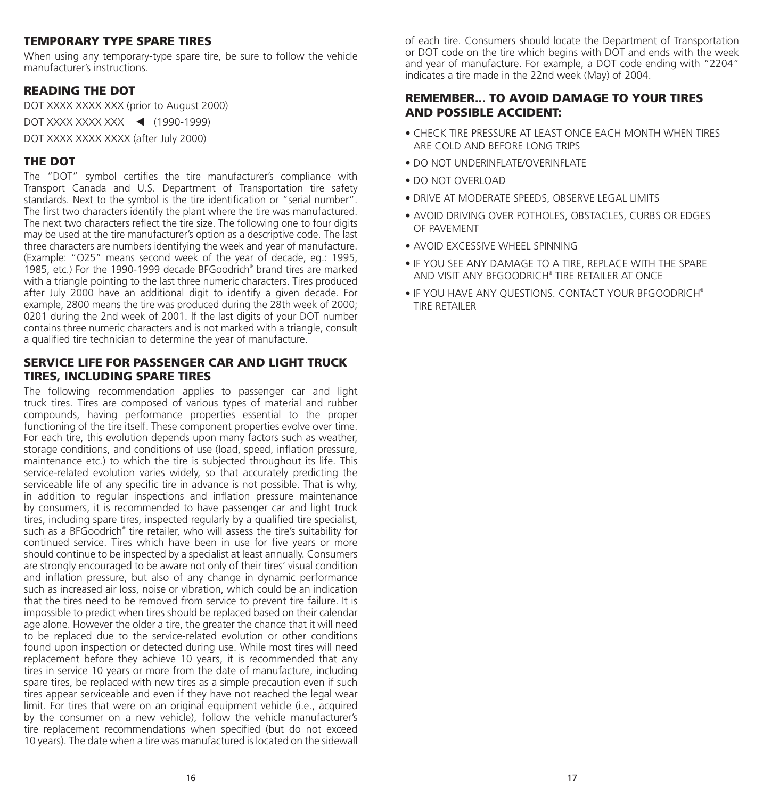### TEMPORARY TYPE SPARE TIRES

When using any temporary-type spare tire, be sure to follow the vehicle manufacturer's instructions.

# READING THE DOT

DOT XXXX XXXX XXX (prior to August 2000)

DOT XXXX XXXX XXX < (1990-1999)

DOT XXXX XXXX XXXX (after July 2000)

# THE DOT

The "DOT" symbol certifies the tire manufacturer's compliance with Transport Canada and U.S. Department of Transportation tire safety standards. Next to the symbol is the tire identification or "serial number". The first two characters identify the plant where the tire was manufactured. The next two characters reflect the tire size. The following one to four digits may be used at the tire manufacturer's option as a descriptive code. The last three characters are numbers identifying the week and year of manufacture. (Example: "O25" means second week of the year of decade, eg.: 1995, 1985, etc.) For the 1990-1999 decade BFGoodrich® brand tires are marked with a triangle pointing to the last three numeric characters. Tires produced after July 2000 have an additional digit to identify a given decade. For example, 2800 means the tire was produced during the 28th week of 2000; 0201 during the 2nd week of 2001. If the last digits of your DOT number contains three numeric characters and is not marked with a triangle, consult a qualified tire technician to determine the year of manufacture.

### SERVICE LIFE FOR PASSENGER CAR AND LIGHT TRUCK TIRES, INCLUDING SPARE TIRES

The following recommendation applies to passenger car and light truck tires. Tires are composed of various types of material and rubber compounds, having performance properties essential to the proper functioning of the tire itself. These component properties evolve over time. For each tire, this evolution depends upon many factors such as weather, storage conditions, and conditions of use (load, speed, inflation pressure, maintenance etc.) to which the tire is subjected throughout its life. This service-related evolution varies widely, so that accurately predicting the serviceable life of any specific tire in advance is not possible. That is why, in addition to regular inspections and inflation pressure maintenance by consumers, it is recommended to have passenger car and light truck tires, including spare tires, inspected regularly by a qualified tire specialist, such as a BFGoodrich**®** tire retailer, who will assess the tire's suitability for continued service. Tires which have been in use for five years or more should continue to be inspected by a specialist at least annually. Consumers are strongly encouraged to be aware not only of their tires' visual condition and inflation pressure, but also of any change in dynamic performance such as increased air loss, noise or vibration, which could be an indication that the tires need to be removed from service to prevent tire failure. It is impossible to predict when tires should be replaced based on their calendar age alone. However the older a tire, the greater the chance that it will need to be replaced due to the service-related evolution or other conditions found upon inspection or detected during use. While most tires will need replacement before they achieve 10 years, it is recommended that any tires in service 10 years or more from the date of manufacture, including spare tires, be replaced with new tires as a simple precaution even if such tires appear serviceable and even if they have not reached the legal wear limit. For tires that were on an original equipment vehicle (i.e., acquired by the consumer on a new vehicle), follow the vehicle manufacturer's tire replacement recommendations when specified (but do not exceed 10 years). The date when a tire was manufactured is located on the sidewall

of each tire. Consumers should locate the Department of Transportation or DOT code on the tire which begins with DOT and ends with the week and year of manufacture. For example, a DOT code ending with "2204" indicates a tire made in the 22nd week (May) of 2004.

# REMEMBER... TO AVOID DAMAGE TO YOUR TIRES AND POSSIBLE ACCIDENT:

- CHECK TIRE PRESSURE AT LEAST ONCE EACH MONTH WHEN TIRES ARE COLD AND BEFORE LONG TRIPS
- DO NOT UNDERINFLATE/OVERINFLATE
- DO NOT OVERLOAD
- DRIVE AT MODERATE SPEEDS, OBSERVE LEGAL LIMITS
- AVOID DRIVING OVER POTHOLES, OBSTACLES, CURBS OR EDGES OF PAVEMENT
- AVOID EXCESSIVE WHEEL SPINNING
- IF YOU SEE ANY DAMAGE TO A TIRE, REPLACE WITH THE SPARE AND VISIT ANY BFGOODRICH**®** TIRE RETAILER AT ONCE
- IF YOU HAVE ANY QUESTIONS. CONTACT YOUR BFGOODRICH**®** TIRE RETAILER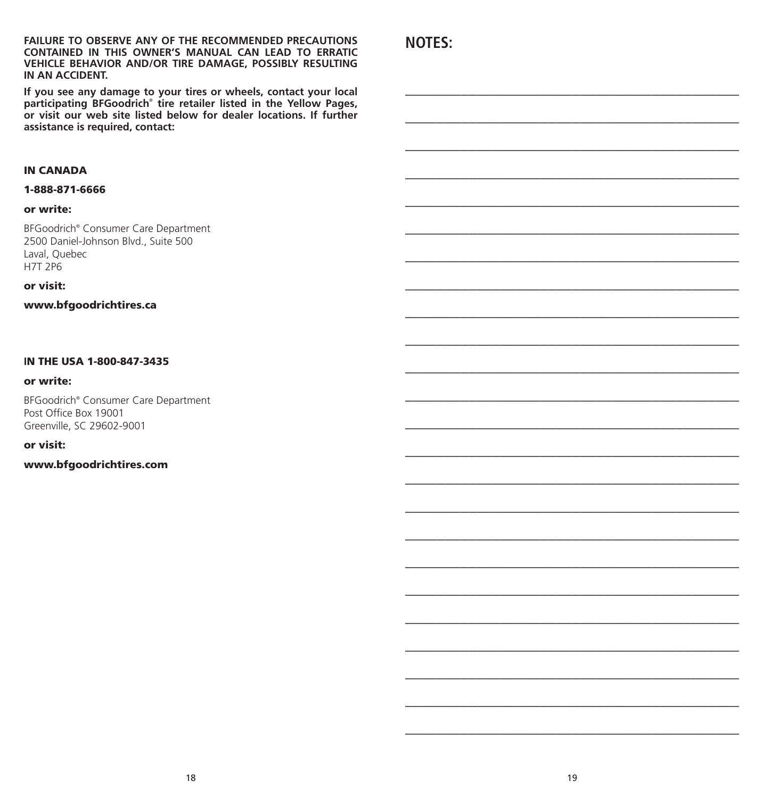**FAILURE TO OBSERVE ANY OF THE RECOMMENDED PRECAUTIONS CONTAINED IN THIS OWNER'S MANUAL CAN LEAD TO ERRATIC VEHICLE BEHAVIOR AND/OR TIRE DAMAGE, POSSIBLY RESULTING IN AN ACCIDENT.** 

**If you see any damage to your tires or wheels, contact your local participating BFGoodrich® tire retailer listed in the Yellow Pages, or visit our web site listed below for dealer locations. If further assistance is required, contact:**

### IN CANADA

### 1-888-871-6666

### or write:

BFGoodrich® Consumer Care Department 2500 Daniel-Johnson Blvd., Suite 500 Laval, Quebec H7T 2P6

### or visit:

www.bfgoodrichtires.ca

### **I**N THE USA 1-800-847-3435

### or write:

BFGoodrich® Consumer Care Department Post Office Box 19001 Greenville, SC 29602-9001

### or visit:

### www.bfgoodrichtires.com

**NOTES:**

**\_\_\_\_\_\_\_\_\_\_\_\_\_\_\_\_\_\_\_\_\_\_\_\_\_\_\_\_\_\_\_\_\_\_\_\_\_\_\_\_\_\_**

**\_\_\_\_\_\_\_\_\_\_\_\_\_\_\_\_\_\_\_\_\_\_\_\_\_\_\_\_\_\_\_\_\_\_\_\_\_\_\_\_\_\_**

**\_\_\_\_\_\_\_\_\_\_\_\_\_\_\_\_\_\_\_\_\_\_\_\_\_\_\_\_\_\_\_\_\_\_\_\_\_\_\_\_\_\_**

**\_\_\_\_\_\_\_\_\_\_\_\_\_\_\_\_\_\_\_\_\_\_\_\_\_\_\_\_\_\_\_\_\_\_\_\_\_\_\_\_\_\_**

**\_\_\_\_\_\_\_\_\_\_\_\_\_\_\_\_\_\_\_\_\_\_\_\_\_\_\_\_\_\_\_\_\_\_\_\_\_\_\_\_\_\_**

**\_\_\_\_\_\_\_\_\_\_\_\_\_\_\_\_\_\_\_\_\_\_\_\_\_\_\_\_\_\_\_\_\_\_\_\_\_\_\_\_\_\_**

**\_\_\_\_\_\_\_\_\_\_\_\_\_\_\_\_\_\_\_\_\_\_\_\_\_\_\_\_\_\_\_\_\_\_\_\_\_\_\_\_\_\_**

**\_\_\_\_\_\_\_\_\_\_\_\_\_\_\_\_\_\_\_\_\_\_\_\_\_\_\_\_\_\_\_\_\_\_\_\_\_\_\_\_\_\_**

**\_\_\_\_\_\_\_\_\_\_\_\_\_\_\_\_\_\_\_\_\_\_\_\_\_\_\_\_\_\_\_\_\_\_\_\_\_\_\_\_\_\_**

**\_\_\_\_\_\_\_\_\_\_\_\_\_\_\_\_\_\_\_\_\_\_\_\_\_\_\_\_\_\_\_\_\_\_\_\_\_\_\_\_\_\_**

**\_\_\_\_\_\_\_\_\_\_\_\_\_\_\_\_\_\_\_\_\_\_\_\_\_\_\_\_\_\_\_\_\_\_\_\_\_\_\_\_\_\_**

**\_\_\_\_\_\_\_\_\_\_\_\_\_\_\_\_\_\_\_\_\_\_\_\_\_\_\_\_\_\_\_\_\_\_\_\_\_\_\_\_\_\_**

**\_\_\_\_\_\_\_\_\_\_\_\_\_\_\_\_\_\_\_\_\_\_\_\_\_\_\_\_\_\_\_\_\_\_\_\_\_\_\_\_\_\_**

**\_\_\_\_\_\_\_\_\_\_\_\_\_\_\_\_\_\_\_\_\_\_\_\_\_\_\_\_\_\_\_\_\_\_\_\_\_\_\_\_\_\_**

**\_\_\_\_\_\_\_\_\_\_\_\_\_\_\_\_\_\_\_\_\_\_\_\_\_\_\_\_\_\_\_\_\_\_\_\_\_\_\_\_\_\_**

**\_\_\_\_\_\_\_\_\_\_\_\_\_\_\_\_\_\_\_\_\_\_\_\_\_\_\_\_\_\_\_\_\_\_\_\_\_\_\_\_\_\_**

**\_\_\_\_\_\_\_\_\_\_\_\_\_\_\_\_\_\_\_\_\_\_\_\_\_\_\_\_\_\_\_\_\_\_\_\_\_\_\_\_\_\_**

**\_\_\_\_\_\_\_\_\_\_\_\_\_\_\_\_\_\_\_\_\_\_\_\_\_\_\_\_\_\_\_\_\_\_\_\_\_\_\_\_\_\_**

**\_\_\_\_\_\_\_\_\_\_\_\_\_\_\_\_\_\_\_\_\_\_\_\_\_\_\_\_\_\_\_\_\_\_\_\_\_\_\_\_\_\_**

**\_\_\_\_\_\_\_\_\_\_\_\_\_\_\_\_\_\_\_\_\_\_\_\_\_\_\_\_\_\_\_\_\_\_\_\_\_\_\_\_\_\_**

**\_\_\_\_\_\_\_\_\_\_\_\_\_\_\_\_\_\_\_\_\_\_\_\_\_\_\_\_\_\_\_\_\_\_\_\_\_\_\_\_\_\_**

**\_\_\_\_\_\_\_\_\_\_\_\_\_\_\_\_\_\_\_\_\_\_\_\_\_\_\_\_\_\_\_\_\_\_\_\_\_\_\_\_\_\_**

**\_\_\_\_\_\_\_\_\_\_\_\_\_\_\_\_\_\_\_\_\_\_\_\_\_\_\_\_\_\_\_\_\_\_\_\_\_\_\_\_\_\_**

**\_\_\_\_\_\_\_\_\_\_\_\_\_\_\_\_\_\_\_\_\_\_\_\_\_\_\_\_\_\_\_\_\_\_\_\_\_\_\_\_\_\_**